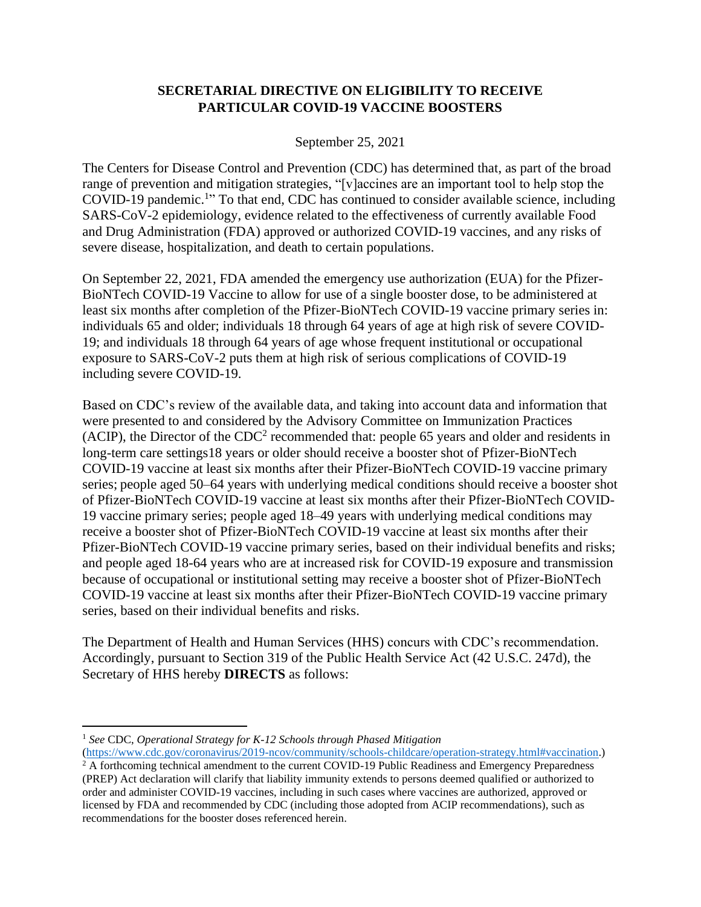## **SECRETARIAL DIRECTIVE ON ELIGIBILITY TO RECEIVE PARTICULAR COVID-19 VACCINE BOOSTERS**

## September 25, 2021

The Centers for Disease Control and Prevention (CDC) has determined that, as part of the broad range of prevention and mitigation strategies, "[v]accines are an important tool to help stop the COVID-19 pandemic.<sup>1</sup>" To that end, CDC has continued to consider available science, including SARS-CoV-2 epidemiology, evidence related to the effectiveness of currently available Food and Drug Administration (FDA) approved or authorized COVID-19 vaccines, and any risks of severe disease, hospitalization, and death to certain populations.

On September 22, 2021, FDA amended the emergency use authorization (EUA) for the Pfizer-BioNTech COVID-19 Vaccine to allow for use of a single booster dose, to be administered at least six months after completion of the Pfizer-BioNTech COVID-19 vaccine primary series in: individuals 65 and older; individuals 18 through 64 years of age at high risk of severe COVID-19; and individuals 18 through 64 years of age whose frequent institutional or occupational exposure to SARS-CoV-2 puts them at high risk of serious complications of COVID-19 including severe COVID-19.

Based on CDC's review of the available data, and taking into account data and information that were presented to and considered by the Advisory Committee on Immunization Practices  $(ACIP)$ , the Director of the  $CDC<sup>2</sup>$  recommended that: people 65 years and older and residents in long-term care settings18 years or older should receive a booster shot of Pfizer-BioNTech COVID-19 vaccine at least six months after their Pfizer-BioNTech COVID-19 vaccine primary series; people aged 50–64 years with underlying medical conditions should receive a booster shot of Pfizer-BioNTech COVID-19 vaccine at least six months after their Pfizer-BioNTech COVID-19 vaccine primary series; people aged 18–49 years with underlying medical conditions may receive a booster shot of Pfizer-BioNTech COVID-19 vaccine at least six months after their Pfizer-BioNTech COVID-19 vaccine primary series, based on their individual benefits and risks; and people aged 18-64 years who are at increased risk for COVID-19 exposure and transmission because of occupational or institutional setting may receive a booster shot of Pfizer-BioNTech COVID-19 vaccine at least six months after their Pfizer-BioNTech COVID-19 vaccine primary series, based on their individual benefits and risks.

The Department of Health and Human Services (HHS) concurs with CDC's recommendation. Accordingly, pursuant to Section 319 of the Public Health Service Act (42 U.S.C. 247d), the Secretary of HHS hereby **DIRECTS** as follows:

<sup>1</sup> *See* CDC, *Operational Strategy for K-12 Schools through Phased Mitigation*

[<sup>\(</sup>https://www.cdc.gov/coronavirus/2019-ncov/community/schools-childcare/operation-strategy.html#vaccination.](https://www.cdc.gov/coronavirus/2019-ncov/community/schools-childcare/operation-strategy.html#vaccination))

 $2$  A forthcoming technical amendment to the current COVID-19 Public Readiness and Emergency Preparedness (PREP) Act declaration will clarify that liability immunity extends to persons deemed qualified or authorized to order and administer COVID-19 vaccines, including in such cases where vaccines are authorized, approved or licensed by FDA and recommended by CDC (including those adopted from ACIP recommendations), such as recommendations for the booster doses referenced herein.